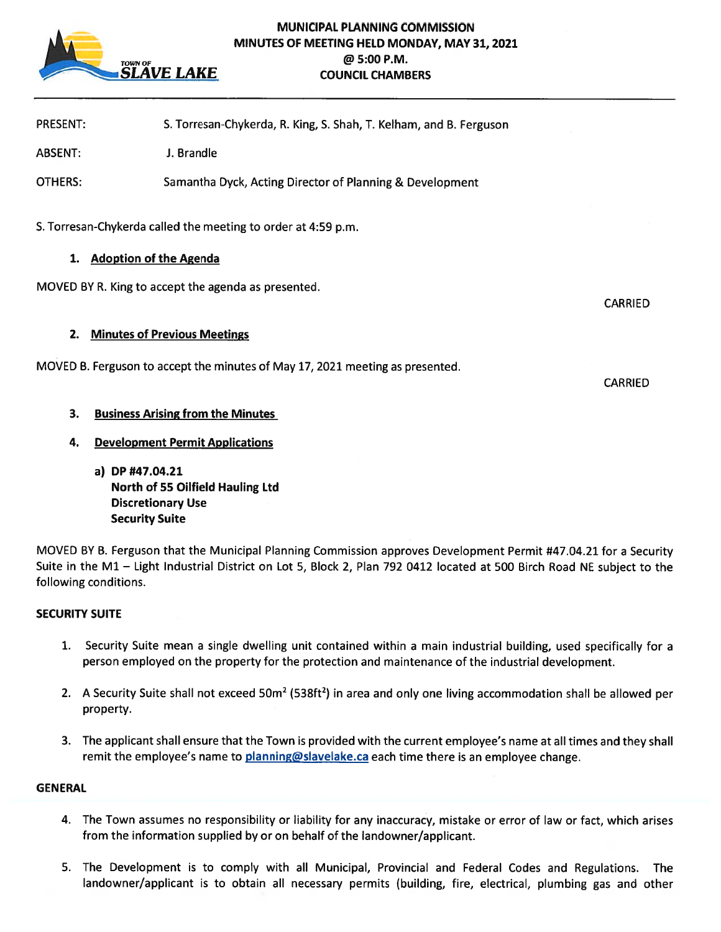

# MUNICIPAL PLANNING COMMISSION MINUTES OF MEETING HELD MONDAY, MAY 31, 2021 TOWNOF @5:OOP.M. **COUNCIL CHAMBERS**

PRESENT: S. Torresan-Chykerda, R. King, S. Shah, T. Keiham, and B. Ferguson

ABSENT: J. Brandle

OTHERS: Samantha Dyck, Acting Director of Planning & Development

S. Torresan-Chykerda called the meeting to order at 4:59 p.m.

## 1. Adoption of the Agenda

MOVED BY R. King to accep<sup>t</sup> the agenda as presented.

CARRIED

CARRIED

## 2. Minutes of Previous Meetings

MOVED B. Ferguson to accep<sup>t</sup> the minutes of May 17, 2021 meeting as presented.

3. Business Arising from the Minutes

# 4. Development Permit Applications

a) DP #47.04.21 North of 55 Oilfield Hauling Ltd Discretionary Use Security Suite

MOVED BY B. Ferguson that the Municipal Planning Commission approves Development Permit #47.04.21 for <sup>a</sup> Security Suite in the Ml — Light Industrial District on Lot 5, Block 2, Plan 792 0412 located at 500 Birch Road NE subject to the following conditions.

## SECURITY SUITE

- 1. Security Suite mean <sup>a</sup> single dwelling unit contained within <sup>a</sup> main industrial building, used specifically for <sup>a</sup> person employed on the property for the protection and maintenance of the industrial development.
- 2. A Security Suite shall not exceed  $50m^2$  (538ft<sup>2</sup>) in area and only one living accommodation shall be allowed per property.
- 3. The applicant shall ensure that the Town is provided with the current employee's name at all times and they shall remit the employee's name to planning@slavelake.ca each time there is an employee change.

#### **GENERAL**

- 4. The Town assumes no responsibility or liability for any inaccuracy, mistake or error of law or fact, which arises from the information supplied by or on behalf of the landowner/applicant.
- 5. The Development is to comply with all Municipal, Provincial and Federal Codes and Regulations. The landowner/applicant is to obtain all necessary permits (building, fire, electrical, <sup>p</sup>lumbing gas and other